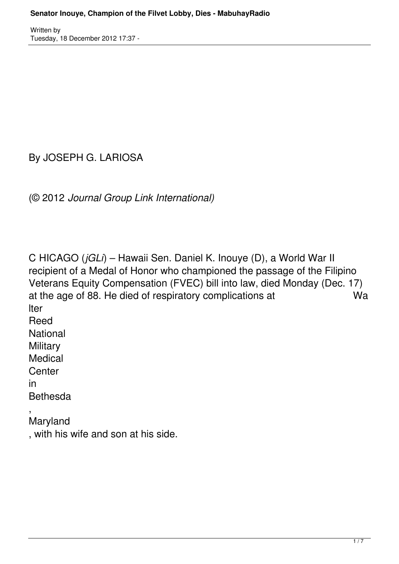By JOSEPH G. LARIOSA

(© 2012 *Journal Group Link International)*

C HICAGO (*jGLi*) – Hawaii Sen. Daniel K. Inouye (D), a World War II recipient of a Medal of Honor who championed the passage of the Filipino Veterans Equity Compensation (FVEC) bill into law, died Monday (Dec. 17) at the age of 88. He died of respiratory complications at Wa lter Reed National **Military** Medical **Center** in Bethesda , Maryland

, with his wife and son at his side.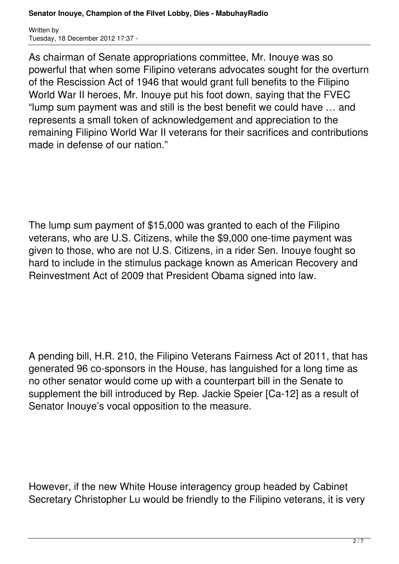As chairman of Senate appropriations committee, Mr. Inouye was so powerful that when some Filipino veterans advocates sought for the overturn of the Rescission Act of 1946 that would grant full benefits to the Filipino World War II heroes, Mr. Inouye put his foot down, saying that the FVEC "lump sum payment was and still is the best benefit we could have … and represents a small token of acknowledgement and appreciation to the remaining Filipino World War II veterans for their sacrifices and contributions made in defense of our nation."

The lump sum payment of \$15,000 was granted to each of the Filipino veterans, who are U.S. Citizens, while the \$9,000 one-time payment was given to those, who are not U.S. Citizens, in a rider Sen. Inouye fought so hard to include in the stimulus package known as American Recovery and Reinvestment Act of 2009 that President Obama signed into law.

A pending bill, H.R. 210, the Filipino Veterans Fairness Act of 2011, that has generated 96 co-sponsors in the House, has languished for a long time as no other senator would come up with a counterpart bill in the Senate to supplement the bill introduced by Rep. Jackie Speier [Ca-12] as a result of Senator Inouye's vocal opposition to the measure.

However, if the new White House interagency group headed by Cabinet Secretary Christopher Lu would be friendly to the Filipino veterans, it is very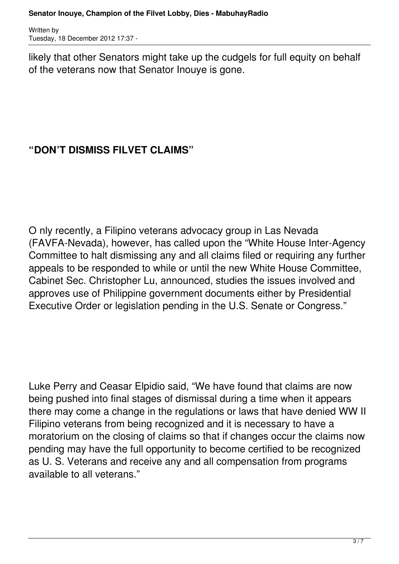likely that other Senators might take up the cudgels for full equity on behalf of the veterans now that Senator Inouye is gone.

## **"DON'T DISMISS FILVET CLAIMS"**

O nly recently, a Filipino veterans advocacy group in Las Nevada (FAVFA-Nevada), however, has called upon the "White House Inter-Agency Committee to halt dismissing any and all claims filed or requiring any further appeals to be responded to while or until the new White House Committee, Cabinet Sec. Christopher Lu, announced, studies the issues involved and approves use of Philippine government documents either by Presidential Executive Order or legislation pending in the U.S. Senate or Congress."

Luke Perry and Ceasar Elpidio said, "We have found that claims are now being pushed into final stages of dismissal during a time when it appears there may come a change in the regulations or laws that have denied WW II Filipino veterans from being recognized and it is necessary to have a moratorium on the closing of claims so that if changes occur the claims now pending may have the full opportunity to become certified to be recognized as U. S. Veterans and receive any and all compensation from programs available to all veterans."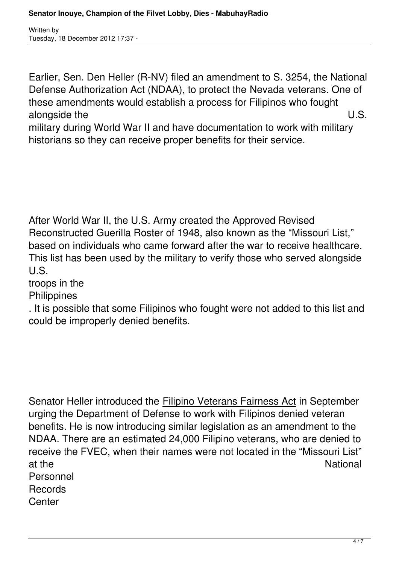Earlier, Sen. Den Heller (R-NV) filed an amendment to S. 3254, the National Defense Authorization Act (NDAA), to protect the Nevada veterans. One of these amendments would establish a process for Filipinos who fought alongside the U.S.

military during World War II and have documentation to work with military historians so they can receive proper benefits for their service.

After World War II, the U.S. Army created the Approved Revised Reconstructed Guerilla Roster of 1948, also known as the "Missouri List," based on individuals who came forward after the war to receive healthcare. This list has been used by the military to verify those who served alongside U.S.

troops in the

**Philippines** 

. It is possible that some Filipinos who fought were not added to this list and could be improperly denied benefits.

Senator Heller introduced the Filipino Veterans Fairness Act in September urging the Department of Defense to work with Filipinos denied veteran benefits. He is now introducing similar legislation as an amendment to the NDAA. There are an estimated 24,000 Filipino veterans, who are denied to receive the FVEC, when their names were not located in the "Missouri List" at the National Accounts and the National Accounts and the National Accounts and the National Accounts and the Personnel **Records Center**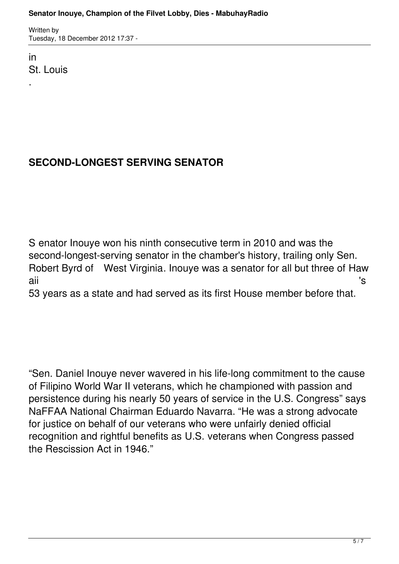in St. Louis

.

## **SECOND-LONGEST SERVING SENATOR**

S enator Inouye won his ninth consecutive term in 2010 and was the second-longest-serving senator in the chamber's history, trailing only Sen. Robert Byrd of West Virginia. Inouye was a senator for all but three of Haw aii 's

53 years as a state and had served as its first House member before that.

"Sen. Daniel Inouye never wavered in his life-long commitment to the cause of Filipino World War II veterans, which he championed with passion and persistence during his nearly 50 years of service in the U.S. Congress" says NaFFAA National Chairman Eduardo Navarra. "He was a strong advocate for justice on behalf of our veterans who were unfairly denied official recognition and rightful benefits as U.S. veterans when Congress passed the Rescission Act in 1946."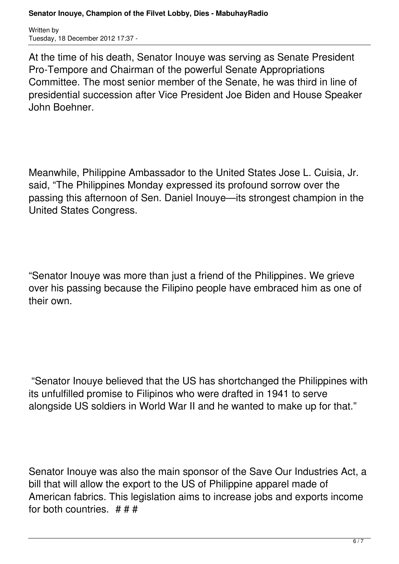At the time of his death, Senator Inouye was serving as Senate President Pro-Tempore and Chairman of the powerful Senate Appropriations Committee. The most senior member of the Senate, he was third in line of presidential succession after Vice President Joe Biden and House Speaker John Boehner.

Meanwhile, Philippine Ambassador to the United States Jose L. Cuisia, Jr. said, "The Philippines Monday expressed its profound sorrow over the passing this afternoon of Sen. Daniel Inouye—its strongest champion in the United States Congress.

"Senator Inouye was more than just a friend of the Philippines. We grieve over his passing because the Filipino people have embraced him as one of their own.

"Senator Inouye believed that the US has shortchanged the Philippines with its unfulfilled promise to Filipinos who were drafted in 1941 to serve alongside US soldiers in World War II and he wanted to make up for that."

Senator Inouye was also the main sponsor of the Save Our Industries Act, a bill that will allow the export to the US of Philippine apparel made of American fabrics. This legislation aims to increase jobs and exports income for both countries. # # #